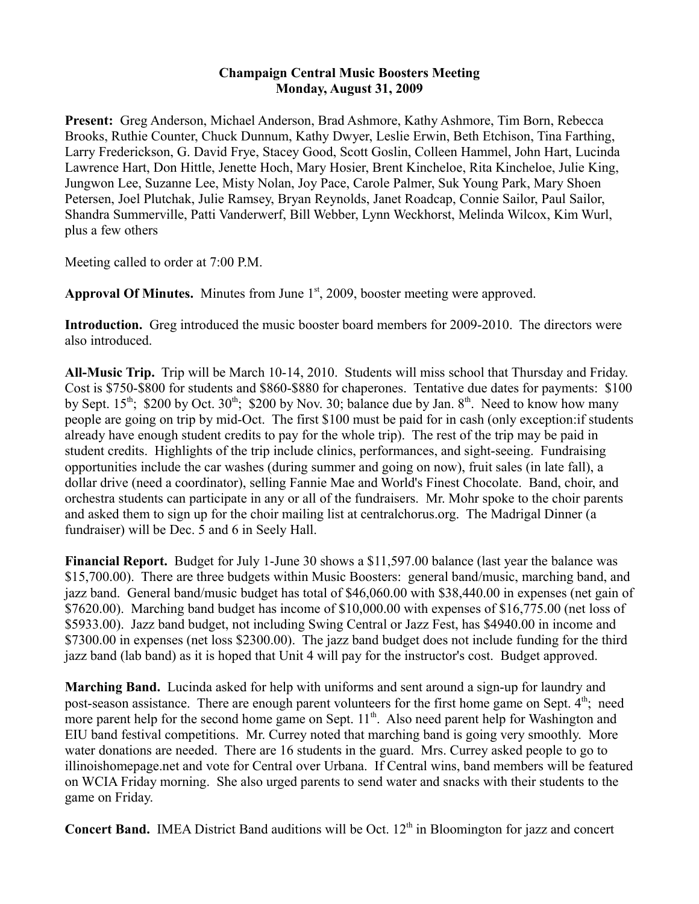## **Champaign Central Music Boosters Meeting Monday, August 31, 2009**

**Present:** Greg Anderson, Michael Anderson, Brad Ashmore, Kathy Ashmore, Tim Born, Rebecca Brooks, Ruthie Counter, Chuck Dunnum, Kathy Dwyer, Leslie Erwin, Beth Etchison, Tina Farthing, Larry Frederickson, G. David Frye, Stacey Good, Scott Goslin, Colleen Hammel, John Hart, Lucinda Lawrence Hart, Don Hittle, Jenette Hoch, Mary Hosier, Brent Kincheloe, Rita Kincheloe, Julie King, Jungwon Lee, Suzanne Lee, Misty Nolan, Joy Pace, Carole Palmer, Suk Young Park, Mary Shoen Petersen, Joel Plutchak, Julie Ramsey, Bryan Reynolds, Janet Roadcap, Connie Sailor, Paul Sailor, Shandra Summerville, Patti Vanderwerf, Bill Webber, Lynn Weckhorst, Melinda Wilcox, Kim Wurl, plus a few others

Meeting called to order at 7:00 P.M.

Approval Of Minutes. Minutes from June 1<sup>st</sup>, 2009, booster meeting were approved.

**Introduction.** Greg introduced the music booster board members for 2009-2010. The directors were also introduced.

**All-Music Trip.** Trip will be March 10-14, 2010. Students will miss school that Thursday and Friday. Cost is \$750-\$800 for students and \$860-\$880 for chaperones. Tentative due dates for payments: \$100 by Sept.  $15<sup>th</sup>$ ; \$200 by Oct.  $30<sup>th</sup>$ ; \$200 by Nov. 30; balance due by Jan.  $8<sup>th</sup>$ . Need to know how many people are going on trip by mid-Oct. The first \$100 must be paid for in cash (only exception:if students already have enough student credits to pay for the whole trip). The rest of the trip may be paid in student credits. Highlights of the trip include clinics, performances, and sight-seeing. Fundraising opportunities include the car washes (during summer and going on now), fruit sales (in late fall), a dollar drive (need a coordinator), selling Fannie Mae and World's Finest Chocolate. Band, choir, and orchestra students can participate in any or all of the fundraisers. Mr. Mohr spoke to the choir parents and asked them to sign up for the choir mailing list at centralchorus.org. The Madrigal Dinner (a fundraiser) will be Dec. 5 and 6 in Seely Hall.

**Financial Report.** Budget for July 1-June 30 shows a \$11,597.00 balance (last year the balance was \$15,700.00). There are three budgets within Music Boosters: general band/music, marching band, and jazz band. General band/music budget has total of \$46,060.00 with \$38,440.00 in expenses (net gain of \$7620.00). Marching band budget has income of \$10,000.00 with expenses of \$16,775.00 (net loss of \$5933.00). Jazz band budget, not including Swing Central or Jazz Fest, has \$4940.00 in income and \$7300.00 in expenses (net loss \$2300.00). The jazz band budget does not include funding for the third jazz band (lab band) as it is hoped that Unit 4 will pay for the instructor's cost. Budget approved.

**Marching Band.** Lucinda asked for help with uniforms and sent around a sign-up for laundry and post-season assistance. There are enough parent volunteers for the first home game on Sept. 4<sup>th</sup>; need more parent help for the second home game on Sept. 11<sup>th</sup>. Also need parent help for Washington and EIU band festival competitions. Mr. Currey noted that marching band is going very smoothly. More water donations are needed. There are 16 students in the guard. Mrs. Currey asked people to go to illinoishomepage.net and vote for Central over Urbana. If Central wins, band members will be featured on WCIA Friday morning. She also urged parents to send water and snacks with their students to the game on Friday.

**Concert Band.** IMEA District Band auditions will be Oct. 12<sup>th</sup> in Bloomington for jazz and concert